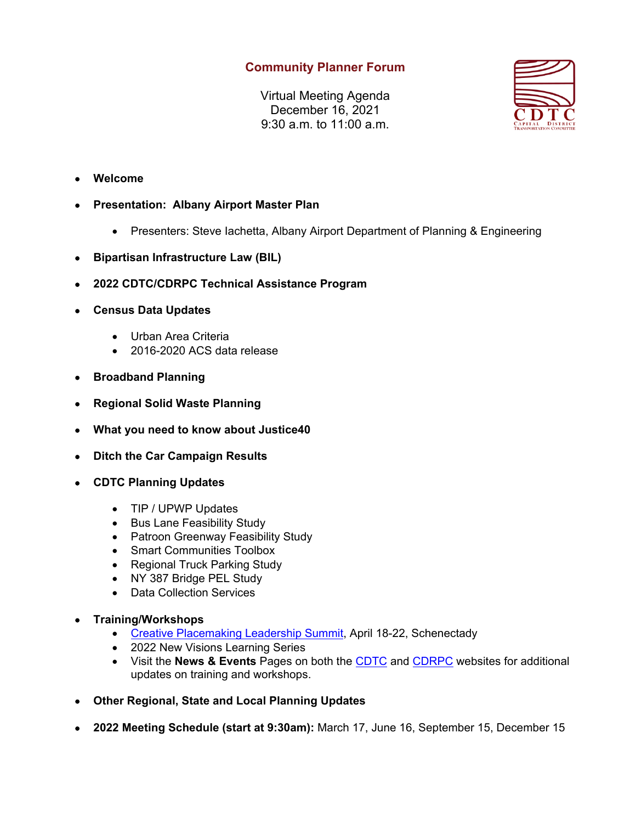## **Community Planner Forum**

Virtual Meeting Agenda December 16, 2021 9:30 a.m. to 11:00 a.m.



- **Welcome**
- **Presentation: Albany Airport Master Plan** 
	- Presenters: Steve Iachetta, Albany Airport Department of Planning & Engineering
- **Bipartisan Infrastructure Law (BIL)**
- **2022 CDTC/CDRPC Technical Assistance Program**
- **Census Data Updates** 
	- Urban Area Criteria
	- 2016-2020 ACS data release
- **Broadband Planning**
- **Regional Solid Waste Planning**
- **What you need to know about Justice40**
- **Ditch the Car Campaign Results**
- **CDTC Planning Updates** 
	- TIP / UPWP Updates
	- Bus Lane Feasibility Study
	- Patroon Greenway Feasibility Study
	- Smart Communities Toolbox
	- Regional Truck Parking Study
	- NY 387 Bridge PEL Study
	- Data Collection Services
- **Training/Workshops**
	- Creative Placemaking Leadership Summit, April 18-22, Schenectady
	- 2022 New Visions Learning Series
	- Visit the **News & Events** Pages on both the CDTC and CDRPC websites for additional updates on training and workshops.
- **Other Regional, State and Local Planning Updates**
- **2022 Meeting Schedule (start at 9:30am):** March 17, June 16, September 15, December 15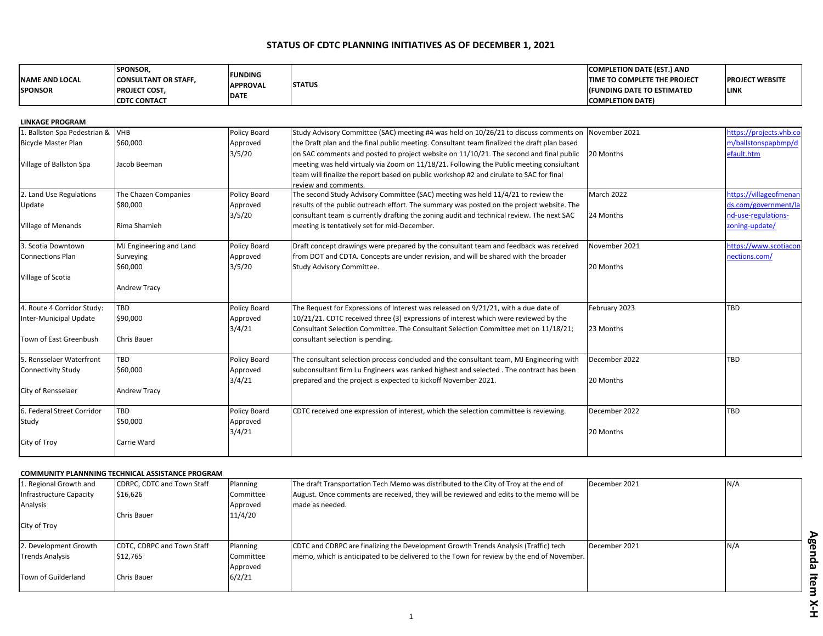## **STATUS OF CDTC PLANNING INITIATIVES AS OF DECEMBER 1, 2021**

| <b>NAME AND LOCAL</b><br><b>SPONSOR</b>                                               | SPONSOR,<br><b>CONSULTANT OR STAFF,</b><br>PROJECT COST,<br><b>CDTC CONTACT</b> | <b>FUNDING</b><br><b>APPROVAL</b><br><b>DATE</b> | <b>STATUS</b>                                                                                                                                                                                                                                                                                                                                                                                                                                                                                 | <b>COMPLETION DATE (EST.) AND</b><br>TIME TO COMPLETE THE PROJECT<br>(FUNDING DATE TO ESTIMATED<br><b>COMPLETION DATE)</b> | <b>PROJECT WEBSITE</b><br><b>LINK</b>                                                   |
|---------------------------------------------------------------------------------------|---------------------------------------------------------------------------------|--------------------------------------------------|-----------------------------------------------------------------------------------------------------------------------------------------------------------------------------------------------------------------------------------------------------------------------------------------------------------------------------------------------------------------------------------------------------------------------------------------------------------------------------------------------|----------------------------------------------------------------------------------------------------------------------------|-----------------------------------------------------------------------------------------|
| <b>LINKAGE PROGRAM</b>                                                                |                                                                                 |                                                  |                                                                                                                                                                                                                                                                                                                                                                                                                                                                                               |                                                                                                                            |                                                                                         |
| 1. Ballston Spa Pedestrian &<br><b>Bicycle Master Plan</b><br>Village of Ballston Spa | <b>VHB</b><br>\$60,000<br>Jacob Beeman                                          | Policy Board<br>Approved<br>3/5/20               | Study Advisory Committee (SAC) meeting #4 was held on 10/26/21 to discuss comments on<br>the Draft plan and the final public meeting. Consultant team finalized the draft plan based<br>on SAC comments and posted to project website on 11/10/21. The second and final public<br>meeting was held virtualy via Zoom on 11/18/21. Following the Public meeting consiultant<br>team will finalize the report based on public workshop #2 and cirulate to SAC for final<br>review and comments. | November 2021<br>20 Months                                                                                                 | https://projects.yhb.co<br>m/ballstonspapbmp/d<br>efault.htm                            |
| 2. Land Use Regulations<br>Update<br>Village of Menands                               | The Chazen Companies<br>\$80,000<br>Rima Shamieh                                | Policy Board<br>Approved<br>3/5/20               | The second Study Advisory Committee (SAC) meeting was held 11/4/21 to review the<br>results of the public outreach effort. The summary was posted on the project website. The<br>consultant team is currently drafting the zoning audit and technical review. The next SAC<br>meeting is tentatively set for mid-December.                                                                                                                                                                    | March 2022<br>24 Months                                                                                                    | https://villageofmenan<br>ds.com/government/la<br>nd-use-regulations-<br>zoning-update/ |
| 3. Scotia Downtown<br><b>Connections Plan</b><br>Village of Scotia                    | MJ Engineering and Land<br>Surveying<br>\$60,000<br><b>Andrew Tracy</b>         | Policy Board<br>Approved<br>3/5/20               | Draft concept drawings were prepared by the consultant team and feedback was received<br>from DOT and CDTA. Concepts are under revision, and will be shared with the broader<br>Study Advisory Committee.                                                                                                                                                                                                                                                                                     | November 2021<br>20 Months                                                                                                 | https://www.scotiacon<br>nections.com/                                                  |
| 4. Route 4 Corridor Study:<br>Inter-Municipal Update<br>Town of East Greenbush        | TBD<br>\$90,000<br><b>Chris Bauer</b>                                           | <b>Policy Board</b><br>Approved<br>3/4/21        | The Request for Expressions of Interest was released on 9/21/21, with a due date of<br>10/21/21. CDTC received three (3) expressions of interest which were reviewed by the<br>Consultant Selection Committee. The Consultant Selection Committee met on 11/18/21;<br>consultant selection is pending.                                                                                                                                                                                        | February 2023<br>23 Months                                                                                                 | TBD                                                                                     |
| 5. Rensselaer Waterfront<br><b>Connectivity Study</b><br>City of Rensselaer           | <b>TBD</b><br>\$60,000<br><b>Andrew Tracy</b>                                   | Policy Board<br>Approved<br>3/4/21               | The consultant selection process concluded and the consultant team, MJ Engineering with<br>subconsultant firm Lu Engineers was ranked highest and selected . The contract has been<br>prepared and the project is expected to kickoff November 2021.                                                                                                                                                                                                                                          | December 2022<br>20 Months                                                                                                 | TBD                                                                                     |
| 6. Federal Street Corridor<br>Study<br>City of Troy                                   | TBD<br>\$50,000<br>Carrie Ward                                                  | Policy Board<br>Approved<br>3/4/21               | CDTC received one expression of interest, which the selection committee is reviewing.                                                                                                                                                                                                                                                                                                                                                                                                         | December 2022<br>20 Months                                                                                                 | TBD                                                                                     |

## **COMMUNITY PLANNNING TECHNICAL ASSISTANCE PROGRAM**

| 1. Regional Growth and  | CDRPC, CDTC and Town Staff | Planning  | The draft Transportation Tech Memo was distributed to the City of Troy at the end of       | December 2021 | N/A |
|-------------------------|----------------------------|-----------|--------------------------------------------------------------------------------------------|---------------|-----|
| Infrastructure Capacity | \$16,626                   | Committee | August. Once comments are received, they will be reviewed and edits to the memo will be    |               |     |
| Analysis                |                            | Approved  | made as needed.                                                                            |               |     |
|                         | Chris Bauer                | 11/4/20   |                                                                                            |               |     |
| City of Troy            |                            |           |                                                                                            |               |     |
|                         |                            |           |                                                                                            |               |     |
| 2. Development Growth   | CDTC, CDRPC and Town Staff | Planning  | CDTC and CDRPC are finalizing the Development Growth Trends Analysis (Traffic) tech        | December 2021 | N/A |
| <b>Trends Analysis</b>  | \$12,765                   | Committee | Imemo, which is anticipated to be delivered to the Town for review by the end of November. |               |     |
|                         |                            | Approved  |                                                                                            |               |     |
| Town of Guilderland     | Chris Bauer                | 6/2/21    |                                                                                            |               |     |
|                         |                            |           |                                                                                            |               |     |

Agenda Item X-H **Agenda Item X-H**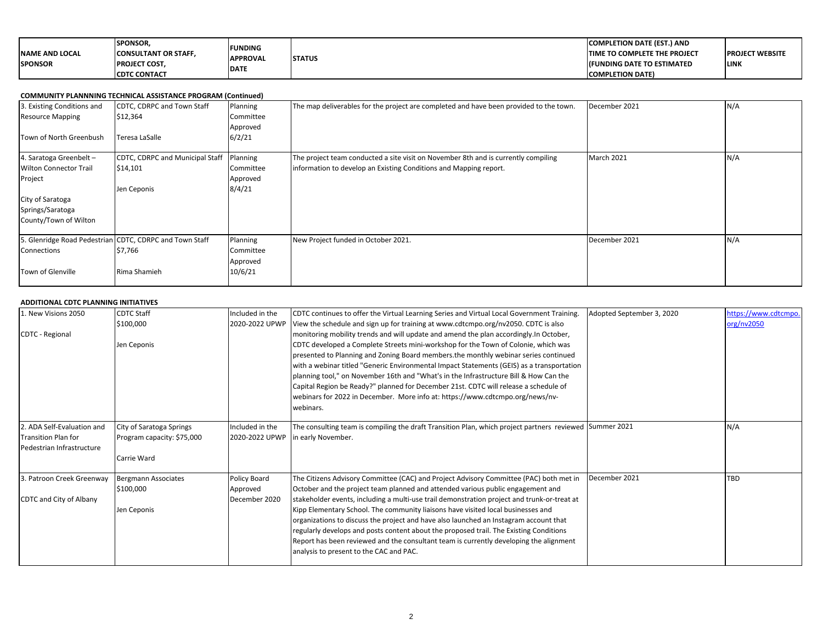| <b>NAME AND LOCAL</b><br><b>SPONSOR</b> | <b>SPONSOR.</b><br><b>CONSULTANT OR STAFF.</b><br><b>PROJECT COST.</b> | <b>FUNDING</b><br><b>APPROVAL</b><br><b>DATE</b> | <b>STATUS</b> | <b>COMPLETION DATE (EST.) AND</b><br><b>TIME TO COMPLETE THE PROJECT</b><br><b>IFUNDING DATE TO ESTIMATED</b> | <b>PROJECT WEBSITE</b><br><b>LINK</b> |
|-----------------------------------------|------------------------------------------------------------------------|--------------------------------------------------|---------------|---------------------------------------------------------------------------------------------------------------|---------------------------------------|
|                                         | <b>CDTC CONTACT</b>                                                    |                                                  |               | <b>COMPLETION DATE)</b>                                                                                       |                                       |

| <b>COMMUNITY PLANNNING TECHNICAL ASSISTANCE PROGRAM (Continued)</b> |                                                         |           |                                                                                        |               |     |  |
|---------------------------------------------------------------------|---------------------------------------------------------|-----------|----------------------------------------------------------------------------------------|---------------|-----|--|
| 3. Existing Conditions and                                          | CDTC, CDRPC and Town Staff                              | Planning  | The map deliverables for the project are completed and have been provided to the town. | December 2021 | N/A |  |
| <b>Resource Mapping</b>                                             | \$12,364                                                | Committee |                                                                                        |               |     |  |
|                                                                     |                                                         | Approved  |                                                                                        |               |     |  |
| Town of North Greenbush                                             | Teresa LaSalle                                          | 6/2/21    |                                                                                        |               |     |  |
| 4. Saratoga Greenbelt -                                             | CDTC, CDRPC and Municipal Staff                         | Planning  | The project team conducted a site visit on November 8th and is currently compiling     | March 2021    | N/A |  |
| <b>Wilton Connector Trail</b>                                       | \$14,101                                                | Committee | information to develop an Existing Conditions and Mapping report.                      |               |     |  |
| Project                                                             |                                                         | Approved  |                                                                                        |               |     |  |
|                                                                     | Jen Ceponis                                             | 8/4/21    |                                                                                        |               |     |  |
| City of Saratoga                                                    |                                                         |           |                                                                                        |               |     |  |
| Springs/Saratoga                                                    |                                                         |           |                                                                                        |               |     |  |
| County/Town of Wilton                                               |                                                         |           |                                                                                        |               |     |  |
|                                                                     | 5. Glenridge Road Pedestrian CDTC, CDRPC and Town Staff | Planning  | New Project funded in October 2021.                                                    | December 2021 | N/A |  |
| Connections                                                         | \$7,766                                                 | Committee |                                                                                        |               |     |  |
|                                                                     |                                                         | Approved  |                                                                                        |               |     |  |
| Town of Glenville                                                   | Rima Shamieh                                            | 10/6/21   |                                                                                        |               |     |  |

## **ADDITIONAL CDTC PLANNING INITIATIVES**

| L. New Visions 2050        | <b>CDTC Staff</b>          | Included in the           | CDTC continues to offer the Virtual Learning Series and Virtual Local Government Training.              | Adopted September 3, 2020 | https://www.cdtcmpo. |
|----------------------------|----------------------------|---------------------------|---------------------------------------------------------------------------------------------------------|---------------------------|----------------------|
|                            | \$100,000                  | 2020-2022 UPWP            | View the schedule and sign up for training at www.cdtcmpo.org/nv2050. CDTC is also                      |                           | org/nv2050           |
| <b>CDTC - Regional</b>     |                            |                           | monitoring mobility trends and will update and amend the plan accordingly. In October,                  |                           |                      |
|                            | Jen Ceponis                |                           | CDTC developed a Complete Streets mini-workshop for the Town of Colonie, which was                      |                           |                      |
|                            |                            |                           | presented to Planning and Zoning Board members the monthly webinar series continued                     |                           |                      |
|                            |                            |                           | with a webinar titled "Generic Environmental Impact Statements (GEIS) as a transportation               |                           |                      |
|                            |                            |                           | planning tool," on November 16th and "What's in the Infrastructure Bill & How Can the                   |                           |                      |
|                            |                            |                           | Capital Region be Ready?" planned for December 21st. CDTC will release a schedule of                    |                           |                      |
|                            |                            |                           | webinars for 2022 in December. More info at: https://www.cdtcmpo.org/news/nv-                           |                           |                      |
|                            |                            |                           | webinars.                                                                                               |                           |                      |
|                            |                            |                           |                                                                                                         |                           |                      |
| 2. ADA Self-Evaluation and | City of Saratoga Springs   | Included in the           | The consulting team is compiling the draft Transition Plan, which project partners reviewed Summer 2021 |                           | N/A                  |
| <b>Transition Plan for</b> | Program capacity: \$75,000 | 2020-2022 UPWP            | in early November.                                                                                      |                           |                      |
| Pedestrian Infrastructure  |                            |                           |                                                                                                         |                           |                      |
|                            | Carrie Ward                |                           |                                                                                                         |                           |                      |
|                            |                            |                           |                                                                                                         | December 2021             | <b>TBD</b>           |
| 3. Patroon Creek Greenway  | <b>Bergmann Associates</b> | Policy Board              | The Citizens Advisory Committee (CAC) and Project Advisory Committee (PAC) both met in                  |                           |                      |
|                            | \$100,000                  | Approved<br>December 2020 | October and the project team planned and attended various public engagement and                         |                           |                      |
| CDTC and City of Albany    |                            |                           | stakeholder events, including a multi-use trail demonstration project and trunk-or-treat at             |                           |                      |
|                            | Jen Ceponis                |                           | Kipp Elementary School. The community liaisons have visited local businesses and                        |                           |                      |
|                            |                            |                           | organizations to discuss the project and have also launched an Instagram account that                   |                           |                      |
|                            |                            |                           | regularly develops and posts content about the proposed trail. The Existing Conditions                  |                           |                      |
|                            |                            |                           | Report has been reviewed and the consultant team is currently developing the alignment                  |                           |                      |
|                            |                            |                           | analysis to present to the CAC and PAC.                                                                 |                           |                      |
|                            |                            |                           |                                                                                                         |                           |                      |